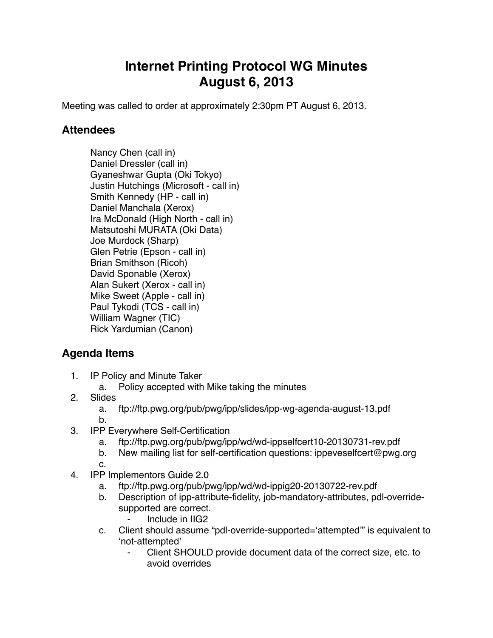## **Internet Printing Protocol WG Minutes August 6, 2013**

Meeting was called to order at approximately 2:30pm PT August 6, 2013.

## **Attendees**

Nancy Chen (call in) Daniel Dressler (call in) Gyaneshwar Gupta (Oki Tokyo) Justin Hutchings (Microsoft - call in) Smith Kennedy (HP - call in) Daniel Manchala (Xerox) Ira McDonald (High North - call in) Matsutoshi MURATA (Oki Data) Joe Murdock (Sharp) Glen Petrie (Epson - call in) Brian Smithson (Ricoh) David Sponable (Xerox) Alan Sukert (Xerox - call in) Mike Sweet (Apple - call in) Paul Tykodi (TCS - call in) William Wagner (TIC) Rick Yardumian (Canon)

## **Agenda Items**

- 1. IP Policy and Minute Taker
	- a. Policy accepted with Mike taking the minutes
- 2. Slides
	- a. ftp://ftp.pwg.org/pub/pwg/ipp/slides/ipp-wg-agenda-august-13.pdf
	- b.
- 3. IPP Everywhere Self-Certification
	- a. ftp://ftp.pwg.org/pub/pwg/ipp/wd/wd-ippselfcert10-20130731-rev.pdf
	- b. New mailing list for self-certification questions: ippeveselfcert@pwg.org
- c. 4. IPP Implementors Guide 2.0
	- a. ftp://ftp.pwg.org/pub/pwg/ipp/wd/wd-ippig20-20130722-rev.pdf
	- b. Description of ipp-attribute-fidelity, job-mandatory-attributes, pdl-overridesupported are correct.
		- ⁃ Include in IIG2
	- c. Client should assume "pdl-override-supported='attempted'" is equivalent to 'not-attempted'
		- Client SHOULD provide document data of the correct size, etc. to avoid overrides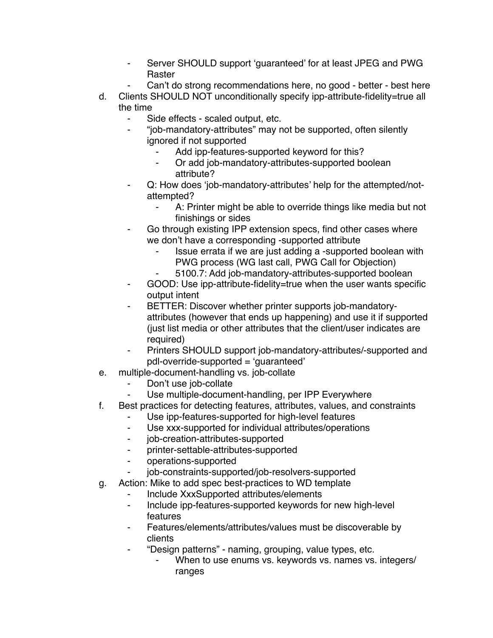- Server SHOULD support 'quaranteed' for at least JPEG and PWG Raster
- Can't do strong recommendations here, no good better best here
- d. Clients SHOULD NOT unconditionally specify ipp-attribute-fidelity=true all the time
	- Side effects scaled output, etc.
	- ⁃ "job-mandatory-attributes" may not be supported, often silently ignored if not supported
		- Add ipp-features-supported keyword for this?
		- ⁃ Or add job-mandatory-attributes-supported boolean attribute?
	- Q: How does 'job-mandatory-attributes' help for the attempted/notattempted?
		- A: Printer might be able to override things like media but not finishings or sides
	- Go through existing IPP extension specs, find other cases where we don't have a corresponding -supported attribute
		- ⁃ Issue errata if we are just adding a -supported boolean with PWG process (WG last call, PWG Call for Objection)
		- 5100.7: Add job-mandatory-attributes-supported boolean
	- ⁃ GOOD: Use ipp-attribute-fidelity=true when the user wants specific output intent
	- BETTER: Discover whether printer supports job-mandatoryattributes (however that ends up happening) and use it if supported (just list media or other attributes that the client/user indicates are required)
	- ⁃ Printers SHOULD support job-mandatory-attributes/-supported and pdl-override-supported = 'guaranteed'
- e. multiple-document-handling vs. job-collate
	- Don't use job-collate
	- ⁃ Use multiple-document-handling, per IPP Everywhere
- f. Best practices for detecting features, attributes, values, and constraints
	- Use ipp-features-supported for high-level features
	- ⁃ Use xxx-supported for individual attributes/operations
	- ⁃ job-creation-attributes-supported
	- ⁃ printer-settable-attributes-supported
	- ⁃ operations-supported
	- job-constraints-supported/job-resolvers-supported
- g. Action: Mike to add spec best-practices to WD template
	- ⁃ Include XxxSupported attributes/elements
	- ⁃ Include ipp-features-supported keywords for new high-level features
	- Features/elements/attributes/values must be discoverable by clients
	- ⁃ "Design patterns" naming, grouping, value types, etc.
		- When to use enums vs. keywords vs. names vs. integers/ ranges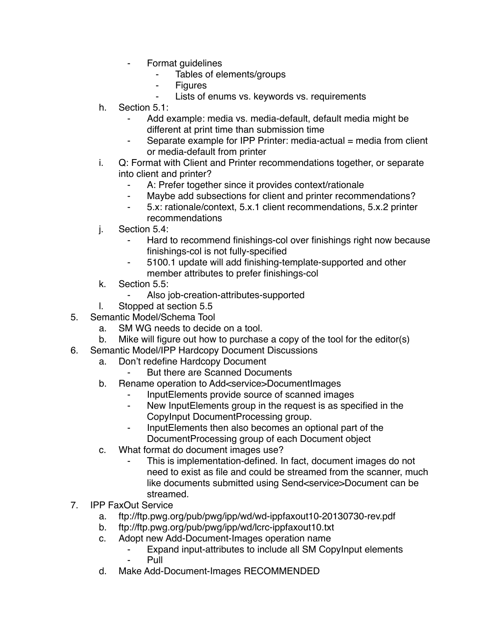- ⁃ Format guidelines
	- Tables of elements/groups
	- **Figures**
	- Lists of enums vs. keywords vs. requirements
- h. Section 5.1:
	- Add example: media vs. media-default, default media might be different at print time than submission time
	- Separate example for IPP Printer: media-actual = media from client or media-default from printer
- i. Q: Format with Client and Printer recommendations together, or separate into client and printer?
	- ⁃ A: Prefer together since it provides context/rationale
	- ⁃ Maybe add subsections for client and printer recommendations?
	- ⁃ 5.x: rationale/context, 5.x.1 client recommendations, 5.x.2 printer recommendations
- j. Section 5.4:
	- ⁃ Hard to recommend finishings-col over finishings right now because finishings-col is not fully-specified
	- 5100.1 update will add finishing-template-supported and other member attributes to prefer finishings-col
- k. Section 5.5:
	- ⁃ Also job-creation-attributes-supported
- l. Stopped at section 5.5
- 5. Semantic Model/Schema Tool
	- a. SM WG needs to decide on a tool.
	- b. Mike will figure out how to purchase a copy of the tool for the editor(s)
- 6. Semantic Model/IPP Hardcopy Document Discussions
	- a. Don't redefine Hardcopy Document
		- But there are Scanned Documents
	- b. Rename operation to Add<service>DocumentImages
		- InputElements provide source of scanned images
		- ⁃ New InputElements group in the request is as specified in the CopyInput DocumentProcessing group.
		- ⁃ InputElements then also becomes an optional part of the DocumentProcessing group of each Document object
	- c. What format do document images use?
		- This is implementation-defined. In fact, document images do not need to exist as file and could be streamed from the scanner, much like documents submitted using Send<service>Document can be streamed.
- 7. IPP FaxOut Service
	- a. ftp://ftp.pwg.org/pub/pwg/ipp/wd/wd-ippfaxout10-20130730-rev.pdf
	- b. ftp://ftp.pwg.org/pub/pwg/ipp/wd/lcrc-ippfaxout10.txt
	- c. Adopt new Add-Document-Images operation name
		- Expand input-attributes to include all SM CopyInput elements **Pull**
	- d. Make Add-Document-Images RECOMMENDED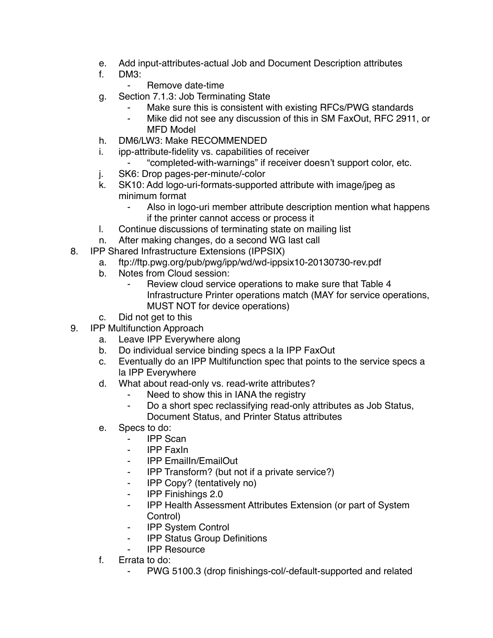- e. Add input-attributes-actual Job and Document Description attributes
- f. DM3:
	- ⁃ Remove date-time
- g. Section 7.1.3: Job Terminating State
	- Make sure this is consistent with existing RFCs/PWG standards
	- ⁃ Mike did not see any discussion of this in SM FaxOut, RFC 2911, or MFD Model
- h. DM6/LW3: Make RECOMMENDED
- i. ipp-attribute-fidelity vs. capabilities of receiver
	- ⁃ "completed-with-warnings" if receiver doesn't support color, etc.
- j. SK6: Drop pages-per-minute/-color
- k. SK10: Add logo-uri-formats-supported attribute with image/jpeg as minimum format
	- ⁃ Also in logo-uri member attribute description mention what happens if the printer cannot access or process it
- l. Continue discussions of terminating state on mailing list
- n. After making changes, do a second WG last call
- 8. IPP Shared Infrastructure Extensions (IPPSIX)
	- a. ftp://ftp.pwg.org/pub/pwg/ipp/wd/wd-ippsix10-20130730-rev.pdf
		- b. Notes from Cloud session:
			- Review cloud service operations to make sure that Table 4 Infrastructure Printer operations match (MAY for service operations, MUST NOT for device operations)
		- c. Did not get to this
- 9. IPP Multifunction Approach
	- a. Leave IPP Everywhere along
	- b. Do individual service binding specs a la IPP FaxOut
	- c. Eventually do an IPP Multifunction spec that points to the service specs a la IPP Everywhere
	- d. What about read-only vs. read-write attributes?
		- Need to show this in IANA the registry
		- ⁃ Do a short spec reclassifying read-only attributes as Job Status, Document Status, and Printer Status attributes
	- e. Specs to do:
		- ⁃ IPP Scan
		- ⁃ IPP FaxIn
		- ⁃ IPP EmailIn/EmailOut
		- ⁃ IPP Transform? (but not if a private service?)
		- ⁃ IPP Copy? (tentatively no)
		- ⁃ IPP Finishings 2.0
		- ⁃ IPP Health Assessment Attributes Extension (or part of System Control)
		- **IPP System Control**
		- ⁃ IPP Status Group Definitions
		- **IPP Resource**
	- f. Errata to do:
		- PWG 5100.3 (drop finishings-col/-default-supported and related